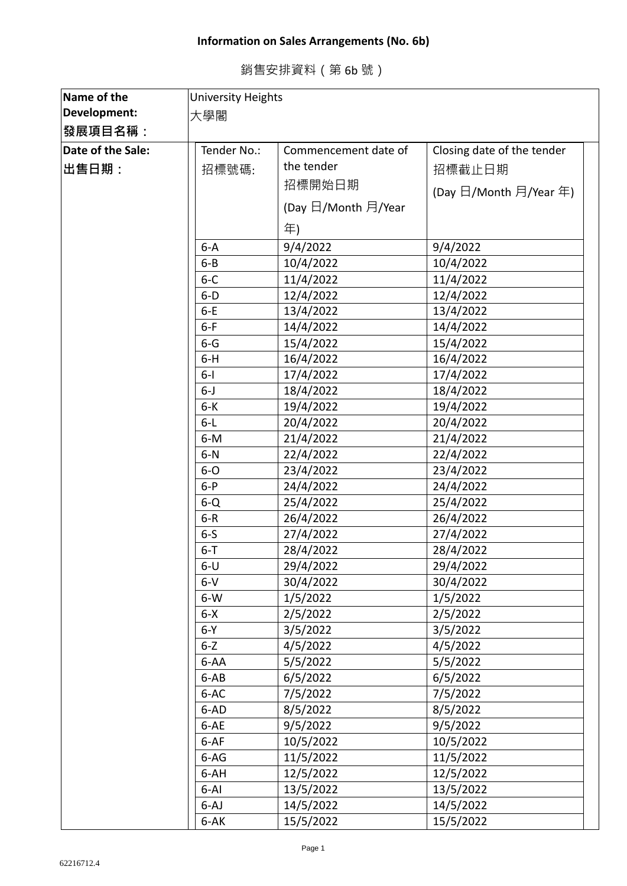## **Information on Sales Arrangements (No. 6b)**

銷售安排資料(第 6b 號)

| Name of the       | <b>University Heights</b> |                      |                            |  |
|-------------------|---------------------------|----------------------|----------------------------|--|
| Development:      | 大學閣                       |                      |                            |  |
| 發展項目名稱:           |                           |                      |                            |  |
| Date of the Sale: | Tender No.:               | Commencement date of | Closing date of the tender |  |
| ∣出售日期:            | 招標號碼:                     | the tender           | 招標截止日期                     |  |
|                   |                           | 招標開始日期               |                            |  |
|                   |                           |                      | (Day 日/Month 月/Year 年)     |  |
|                   |                           | (Day 日/Month 月/Year  |                            |  |
|                   |                           | 年)                   |                            |  |
|                   | $6-A$                     | 9/4/2022             | 9/4/2022                   |  |
|                   | $6 - B$                   | 10/4/2022            | 10/4/2022                  |  |
|                   | $6 - C$                   | 11/4/2022            | 11/4/2022                  |  |
|                   | $6-D$                     | 12/4/2022            | 12/4/2022                  |  |
|                   | $6-E$                     | 13/4/2022            | 13/4/2022                  |  |
|                   | $6-F$                     | 14/4/2022            | 14/4/2022                  |  |
|                   | $6 - G$                   | 15/4/2022            | 15/4/2022                  |  |
|                   | $6-H$                     | 16/4/2022            | 16/4/2022                  |  |
|                   | $6-I$                     | 17/4/2022            | 17/4/2022                  |  |
|                   | $6 - J$                   | 18/4/2022            | 18/4/2022                  |  |
|                   | $6 - K$                   | 19/4/2022            | 19/4/2022                  |  |
|                   | $6-L$                     | 20/4/2022            | 20/4/2022                  |  |
|                   | $6-M$                     | 21/4/2022            | 21/4/2022                  |  |
|                   | $6-N$                     | 22/4/2022            | 22/4/2022                  |  |
|                   | $6-0$                     | 23/4/2022            | 23/4/2022                  |  |
|                   | $6-P$                     | 24/4/2022            | 24/4/2022                  |  |
|                   | $6-Q$                     | 25/4/2022            | 25/4/2022                  |  |
|                   | $6 - R$                   | 26/4/2022            | 26/4/2022                  |  |
|                   | $6-5$                     | 27/4/2022            | 27/4/2022                  |  |
|                   | $6 - T$                   | 28/4/2022            | 28/4/2022                  |  |
|                   | $6-U$                     | 29/4/2022            | 29/4/2022                  |  |
|                   | $6-V$                     | 30/4/2022            | 30/4/2022                  |  |
|                   | $6-W$                     | 1/5/2022             | 1/5/2022                   |  |
|                   | $6 - X$                   | 2/5/2022             | 2/5/2022                   |  |
|                   | $6-Y$                     | 3/5/2022             | 3/5/2022                   |  |
|                   | $6 - Z$                   | 4/5/2022             | 4/5/2022                   |  |
|                   | 6-AA                      | 5/5/2022             | 5/5/2022                   |  |
|                   | $6-AB$                    | 6/5/2022             | 6/5/2022                   |  |
|                   | 6-AC                      | 7/5/2022             | 7/5/2022                   |  |
|                   | 6-AD                      | 8/5/2022             | 8/5/2022                   |  |
|                   | 6-AE                      | 9/5/2022             | 9/5/2022                   |  |
|                   | $6-AF$                    | 10/5/2022            | 10/5/2022                  |  |
|                   | 6-AG                      | 11/5/2022            | 11/5/2022                  |  |
|                   | 6-AH                      | 12/5/2022            | 12/5/2022                  |  |
|                   | $6 - AI$                  | 13/5/2022            | 13/5/2022                  |  |
|                   | $6 - AJ$                  | 14/5/2022            | 14/5/2022                  |  |
|                   | 6-AK                      | 15/5/2022            | 15/5/2022                  |  |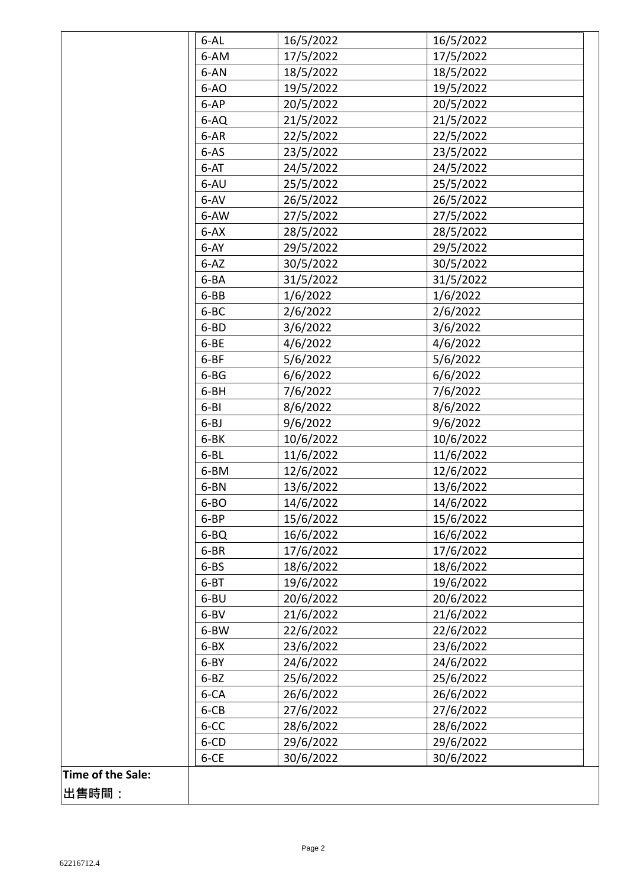|                   | 6-AL     | 16/5/2022 | 16/5/2022 |
|-------------------|----------|-----------|-----------|
|                   | 6-AM     | 17/5/2022 | 17/5/2022 |
|                   | 6-AN     | 18/5/2022 | 18/5/2022 |
|                   | $6-AO$   | 19/5/2022 | 19/5/2022 |
|                   | $6-AP$   | 20/5/2022 | 20/5/2022 |
|                   | 6-AQ     | 21/5/2022 | 21/5/2022 |
|                   | 6-AR     | 22/5/2022 | 22/5/2022 |
|                   | $6-AS$   | 23/5/2022 | 23/5/2022 |
|                   | 6-AT     | 24/5/2022 | 24/5/2022 |
|                   | 6-AU     | 25/5/2022 | 25/5/2022 |
|                   | 6-AV     | 26/5/2022 | 26/5/2022 |
|                   | 6-AW     | 27/5/2022 | 27/5/2022 |
|                   | $6 - AX$ | 28/5/2022 | 28/5/2022 |
|                   | $6 - AY$ | 29/5/2022 | 29/5/2022 |
|                   | $6 - AZ$ | 30/5/2022 | 30/5/2022 |
|                   | 6-BA     | 31/5/2022 | 31/5/2022 |
|                   | 6-BB     | 1/6/2022  | 1/6/2022  |
|                   | 6-BC     | 2/6/2022  | 2/6/2022  |
|                   | 6-BD     | 3/6/2022  | 3/6/2022  |
|                   | 6-BE     | 4/6/2022  | 4/6/2022  |
|                   | $6-BF$   | 5/6/2022  | 5/6/2022  |
|                   | $6 - BG$ | 6/6/2022  | 6/6/2022  |
|                   | 6-BH     | 7/6/2022  | 7/6/2022  |
|                   | $6 - B1$ | 8/6/2022  | 8/6/2022  |
|                   | $6 - BJ$ | 9/6/2022  | 9/6/2022  |
|                   | 6-BK     | 10/6/2022 | 10/6/2022 |
|                   | $6 - BL$ | 11/6/2022 | 11/6/2022 |
|                   | 6-BM     | 12/6/2022 | 12/6/2022 |
|                   | 6-BN     | 13/6/2022 | 13/6/2022 |
|                   | 6-BO     | 14/6/2022 | 14/6/2022 |
|                   | 6-BP     | 15/6/2022 | 15/6/2022 |
|                   | 6-BQ     | 16/6/2022 | 16/6/2022 |
|                   | 6-BR     | 17/6/2022 | 17/6/2022 |
|                   | $6 - BS$ | 18/6/2022 | 18/6/2022 |
|                   | $6 - BT$ | 19/6/2022 | 19/6/2022 |
|                   | 6-BU     | 20/6/2022 | 20/6/2022 |
|                   | 6-BV     | 21/6/2022 | 21/6/2022 |
|                   | 6-BW     | 22/6/2022 | 22/6/2022 |
|                   | $6 - BX$ | 23/6/2022 | 23/6/2022 |
|                   | 6-BY     | 24/6/2022 | 24/6/2022 |
|                   | $6 - BZ$ | 25/6/2022 | 25/6/2022 |
|                   | 6-CA     | 26/6/2022 | 26/6/2022 |
|                   | 6-CB     | 27/6/2022 | 27/6/2022 |
|                   | 6-CC     | 28/6/2022 | 28/6/2022 |
|                   | 6-CD     | 29/6/2022 | 29/6/2022 |
|                   | 6-CE     | 30/6/2022 | 30/6/2022 |
| Time of the Sale: |          |           |           |
| 出售時間:             |          |           |           |
|                   |          |           |           |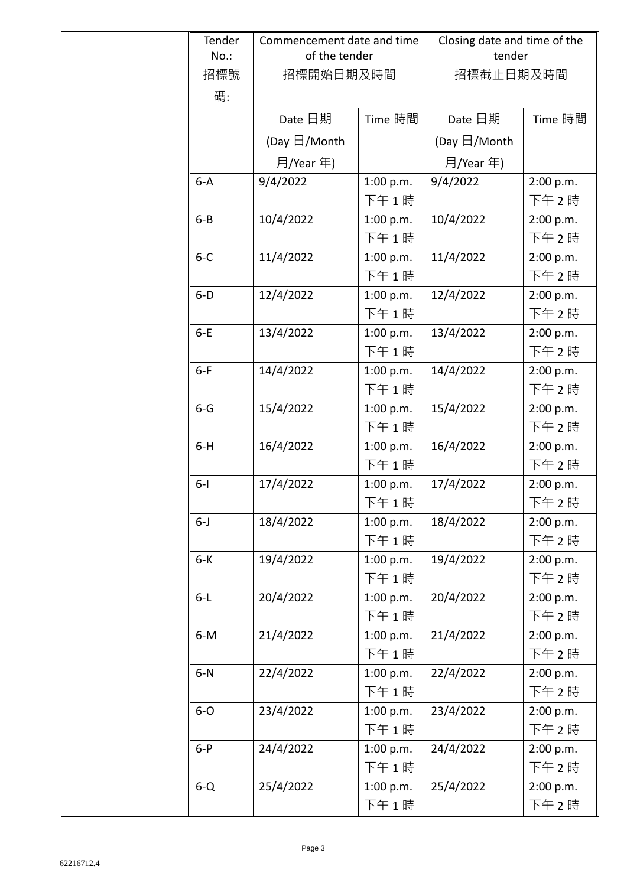| Tender  | Commencement date and time |           | Closing date and time of the |           |
|---------|----------------------------|-----------|------------------------------|-----------|
| $No.$ : | of the tender              |           | tender                       |           |
| 招標號     | 招標開始日期及時間                  |           | 招標截止日期及時間                    |           |
| 碼:      |                            |           |                              |           |
|         | Date 日期                    | Time 時間   | Date 日期                      | Time 時間   |
|         | (Day $\boxdot$ /Month      |           | (Day $\boxdot$ /Month        |           |
|         | 月/Year 年)                  |           | 月/Year 年)                    |           |
| $6-A$   | 9/4/2022                   | 1:00 p.m. | 9/4/2022                     | 2:00 p.m. |
|         |                            | 下午1時      |                              | 下午 2時     |
| $6 - B$ | 10/4/2022                  | 1:00 p.m. | 10/4/2022                    | 2:00 p.m. |
|         |                            | 下午1時      |                              | 下午 2時     |
| $6 - C$ | 11/4/2022                  | 1:00 p.m. | 11/4/2022                    | 2:00 p.m. |
|         |                            | 下午1時      |                              | 下午 2時     |
| $6-D$   | 12/4/2022                  | 1:00 p.m. | 12/4/2022                    | 2:00 p.m. |
|         |                            | 下午1時      |                              | 下午 2時     |
| $6-E$   | 13/4/2022                  | 1:00 p.m. | 13/4/2022                    | 2:00 p.m. |
|         |                            | 下午1時      |                              | 下午 2時     |
| $6-F$   | 14/4/2022                  | 1:00 p.m. | 14/4/2022                    | 2:00 p.m. |
|         |                            | 下午1時      |                              | 下午 2時     |
| $6 - G$ | 15/4/2022                  | 1:00 p.m. | 15/4/2022                    | 2:00 p.m. |
|         |                            | 下午1時      |                              | 下午 2時     |
| $6-H$   | 16/4/2022                  | 1:00 p.m. | 16/4/2022                    | 2:00 p.m. |
|         |                            | 下午1時      |                              | 下午2時      |
| $6 - 1$ | 17/4/2022                  | 1:00 p.m. | 17/4/2022                    | 2:00 p.m. |
|         |                            | 下午1時      |                              | 下午2時      |
| $6 - J$ | 18/4/2022                  | 1:00 p.m. | 18/4/2022                    | 2:00 p.m. |
|         |                            | 下午1時      |                              | 下午 2時     |
| $6-K$   | 19/4/2022                  | 1:00 p.m. | 19/4/2022                    | 2:00 p.m. |
|         |                            | 下午1時      |                              | 下午 2時     |
| $6-L$   | 20/4/2022                  | 1:00 p.m. | 20/4/2022                    | 2:00 p.m. |
|         |                            | 下午1時      |                              | 下午2時      |
| $6-M$   | 21/4/2022                  | 1:00 p.m. | 21/4/2022                    | 2:00 p.m. |
|         |                            | 下午1時      |                              | 下午 2時     |
| $6-N$   | 22/4/2022                  | 1:00 p.m. | 22/4/2022                    | 2:00 p.m. |
|         |                            | 下午1時      |                              | 下午2時      |
| $6-0$   | 23/4/2022                  | 1:00 p.m. | 23/4/2022                    | 2:00 p.m. |
|         |                            | 下午1時      |                              | 下午2時      |
| $6-P$   | 24/4/2022                  | 1:00 p.m. | 24/4/2022                    | 2:00 p.m. |
|         |                            | 下午1時      |                              | 下午2時      |
| $6 - Q$ | 25/4/2022                  | 1:00 p.m. | 25/4/2022                    | 2:00 p.m. |
|         |                            | 下午1時      |                              | 下午2時      |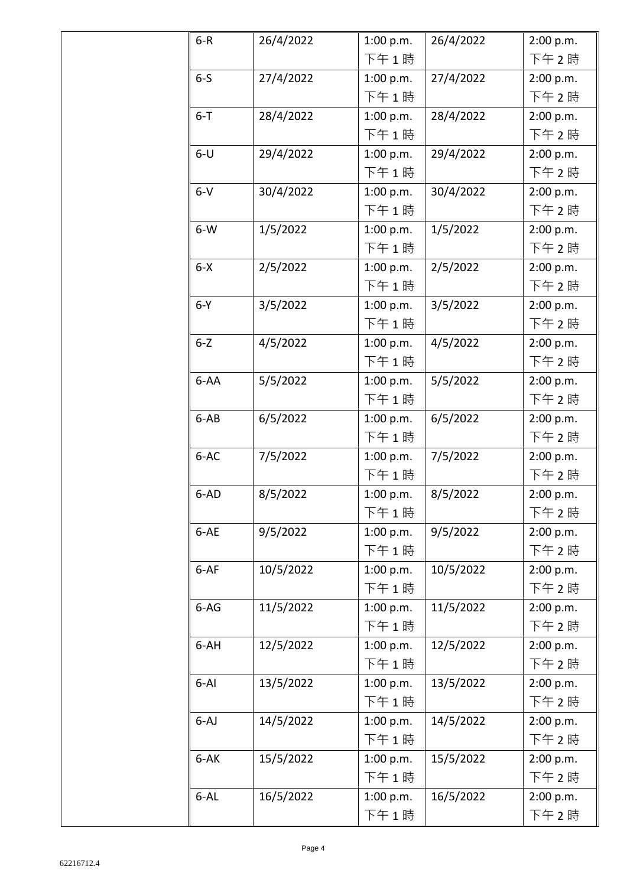| $6 - R$  | 26/4/2022 | 1:00 p.m. | 26/4/2022 | 2:00 p.m. |
|----------|-----------|-----------|-----------|-----------|
|          |           | 下午1時      |           | 下午 2時     |
| $6-5$    | 27/4/2022 | 1:00 p.m. | 27/4/2022 | 2:00 p.m. |
|          |           | 下午1時      |           | 下午 2時     |
| $6 - T$  | 28/4/2022 | 1:00 p.m. | 28/4/2022 | 2:00 p.m. |
|          |           | 下午1時      |           | 下午2時      |
| $6-U$    | 29/4/2022 | 1:00 p.m. | 29/4/2022 | 2:00 p.m. |
|          |           | 下午1時      |           | 下午2時      |
| $6-V$    | 30/4/2022 | 1:00 p.m. | 30/4/2022 | 2:00 p.m. |
|          |           | 下午1時      |           | 下午2時      |
| $6-W$    | 1/5/2022  | 1:00 p.m. | 1/5/2022  | 2:00 p.m. |
|          |           | 下午1時      |           | 下午2時      |
| $6 - X$  | 2/5/2022  | 1:00 p.m. | 2/5/2022  | 2:00 p.m. |
|          |           | 下午1時      |           | 下午2時      |
| $6-Y$    | 3/5/2022  | 1:00 p.m. | 3/5/2022  | 2:00 p.m. |
|          |           | 下午1時      |           | 下午2時      |
| $6 - Z$  | 4/5/2022  | 1:00 p.m. | 4/5/2022  | 2:00 p.m. |
|          |           | 下午1時      |           | 下午 2時     |
| 6-AA     | 5/5/2022  | 1:00 p.m. | 5/5/2022  | 2:00 p.m. |
|          |           | 下午1時      |           | 下午 2 時    |
| $6-AB$   | 6/5/2022  | 1:00 p.m. | 6/5/2022  | 2:00 p.m. |
|          |           | 下午1時      |           | 下午 2 時    |
| 6-AC     | 7/5/2022  | 1:00 p.m. | 7/5/2022  | 2:00 p.m. |
|          |           | 下午1時      |           | 下午 2時     |
| 6-AD     | 8/5/2022  | 1:00 p.m. | 8/5/2022  | 2:00 p.m. |
|          |           | 下午1時      |           | 下午2時      |
| 6-AE     | 9/5/2022  | 1:00 p.m. | 9/5/2022  | 2:00 p.m. |
|          |           | 下午1時      |           | 下午2時      |
| $6-AF$   | 10/5/2022 | 1:00 p.m. | 10/5/2022 | 2:00 p.m. |
|          |           | 下午1時      |           | 下午2時      |
| $6-AG$   | 11/5/2022 | 1:00 p.m. | 11/5/2022 | 2:00 p.m. |
|          |           | 下午1時      |           | 下午2時      |
| 6-AH     | 12/5/2022 | 1:00 p.m. | 12/5/2022 | 2:00 p.m. |
|          |           | 下午1時      |           | 下午2時      |
| $6 - AI$ | 13/5/2022 | 1:00 p.m. | 13/5/2022 | 2:00 p.m. |
|          |           | 下午1時      |           | 下午 2時     |
| $6 - AJ$ | 14/5/2022 | 1:00 p.m. | 14/5/2022 | 2:00 p.m. |
|          |           | 下午1時      |           | 下午 2時     |
| 6-AK     | 15/5/2022 | 1:00 p.m. | 15/5/2022 | 2:00 p.m. |
|          |           | 下午1時      |           | 下午 2時     |
| $6 - AL$ | 16/5/2022 | 1:00 p.m. | 16/5/2022 | 2:00 p.m. |
|          |           | 下午1時      |           | 下午2時      |
|          |           |           |           |           |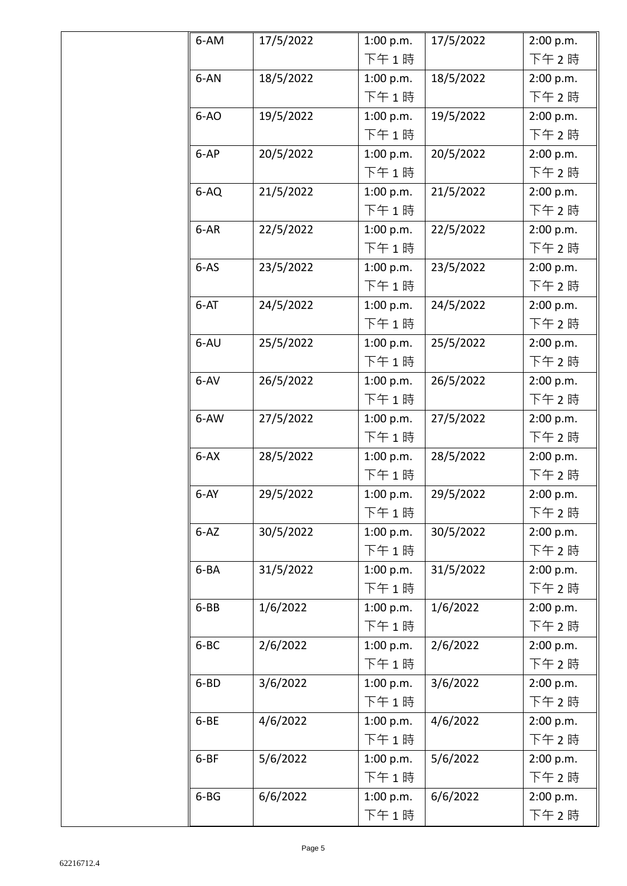| 6-AM     | 17/5/2022 | 1:00 p.m. | 17/5/2022 | 2:00 p.m. |
|----------|-----------|-----------|-----------|-----------|
|          |           | 下午1時      |           | 下午 2時     |
| 6-AN     | 18/5/2022 | 1:00 p.m. | 18/5/2022 | 2:00 p.m. |
|          |           | 下午1時      |           | 下午 2時     |
| $6-AO$   | 19/5/2022 | 1:00 p.m. | 19/5/2022 | 2:00 p.m. |
|          |           | 下午1時      |           | 下午2時      |
| 6-AP     | 20/5/2022 | 1:00 p.m. | 20/5/2022 | 2:00 p.m. |
|          |           | 下午1時      |           | 下午2時      |
| 6-AQ     | 21/5/2022 | 1:00 p.m. | 21/5/2022 | 2:00 p.m. |
|          |           | 下午1時      |           | 下午2時      |
| 6-AR     | 22/5/2022 | 1:00 p.m. | 22/5/2022 | 2:00 p.m. |
|          |           | 下午1時      |           | 下午2時      |
| $6-AS$   | 23/5/2022 | 1:00 p.m. | 23/5/2022 | 2:00 p.m. |
|          |           | 下午1時      |           | 下午2時      |
| $6-AT$   | 24/5/2022 | 1:00 p.m. | 24/5/2022 | 2:00 p.m. |
|          |           | 下午1時      |           | 下午 2 時    |
| 6-AU     | 25/5/2022 | 1:00 p.m. | 25/5/2022 | 2:00 p.m. |
|          |           | 下午1時      |           | 下午 2 時    |
| $6 - AV$ | 26/5/2022 | 1:00 p.m. | 26/5/2022 | 2:00 p.m. |
|          |           | 下午1時      |           | 下午 2 時    |
| 6-AW     | 27/5/2022 | 1:00 p.m. | 27/5/2022 | 2:00 p.m. |
|          |           | 下午1時      |           | 下午 2 時    |
| $6 - AX$ | 28/5/2022 | 1:00 p.m. | 28/5/2022 | 2:00 p.m. |
|          |           | 下午1時      |           | 下午2時      |
| $6-AY$   | 29/5/2022 | 1:00 p.m. | 29/5/2022 | 2:00 p.m. |
|          |           | 下午1時      |           | 下午 2 時    |
| $6 - AZ$ | 30/5/2022 | 1:00 p.m. | 30/5/2022 | 2:00 p.m. |
|          |           | 下午1時      |           | 下午 2時     |
| 6-BA     | 31/5/2022 | 1:00 p.m. | 31/5/2022 | 2:00 p.m. |
|          |           | 下午1時      |           | 下午 2 時    |
| 6-BB     | 1/6/2022  | 1:00 p.m. | 1/6/2022  | 2:00 p.m. |
|          |           | 下午1時      |           | 下午2時      |
| 6-BC     | 2/6/2022  | 1:00 p.m. | 2/6/2022  | 2:00 p.m. |
|          |           | 下午1時      |           | 下午2時      |
| 6-BD     | 3/6/2022  | 1:00 p.m. | 3/6/2022  | 2:00 p.m. |
|          |           | 下午1時      |           | 下午2時      |
| 6-BE     | 4/6/2022  | 1:00 p.m. | 4/6/2022  | 2:00 p.m. |
|          |           | 下午1時      |           | 下午2時      |
| $6 - BF$ | 5/6/2022  | 1:00 p.m. | 5/6/2022  | 2:00 p.m. |
|          |           | 下午1時      |           | 下午 2 時    |
| $6 - BG$ | 6/6/2022  | 1:00 p.m. | 6/6/2022  | 2:00 p.m. |
|          |           | 下午1時      |           | 下午2時      |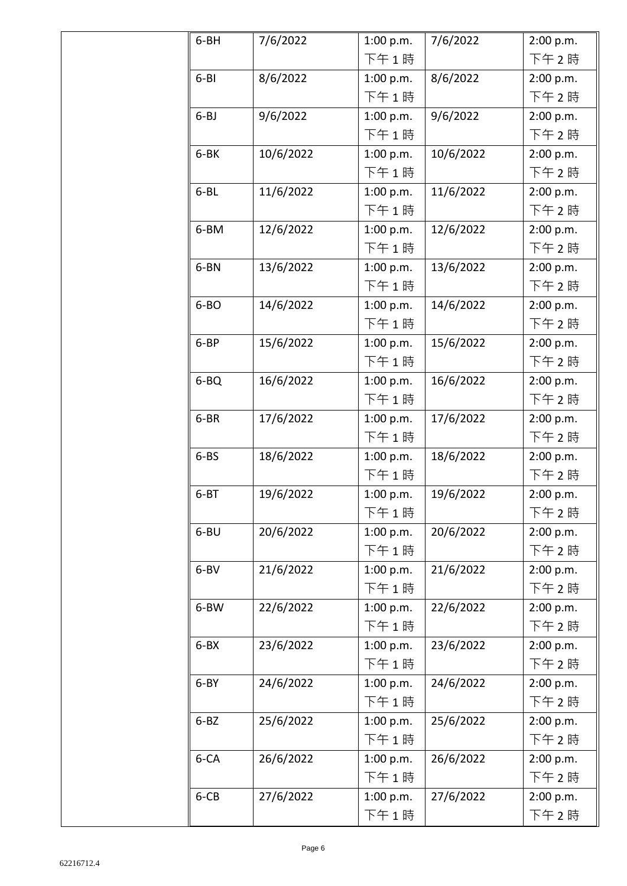| 6-BH      | 7/6/2022  | 1:00 p.m. | 7/6/2022  | 2:00 p.m. |
|-----------|-----------|-----------|-----------|-----------|
|           |           | 下午1時      |           | 下午2時      |
| $6 - B1$  | 8/6/2022  | 1:00 p.m. | 8/6/2022  | 2:00 p.m. |
|           |           | 下午1時      |           | 下午2時      |
| $6 - BJ$  | 9/6/2022  | 1:00 p.m. | 9/6/2022  | 2:00 p.m. |
|           |           | 下午1時      |           | 下午 2時     |
| 6-BK      | 10/6/2022 | 1:00 p.m. | 10/6/2022 | 2:00 p.m. |
|           |           | 下午1時      |           | 下午2時      |
| $6 - BL$  | 11/6/2022 | 1:00 p.m. | 11/6/2022 | 2:00 p.m. |
|           |           | 下午1時      |           | 下午 2時     |
| 6-BM      | 12/6/2022 | 1:00 p.m. | 12/6/2022 | 2:00 p.m. |
|           |           | 下午1時      |           | 下午2時      |
| 6-BN      | 13/6/2022 | 1:00 p.m. | 13/6/2022 | 2:00 p.m. |
|           |           | 下午1時      |           | 下午2時      |
| 6-BO      | 14/6/2022 | 1:00 p.m. | 14/6/2022 | 2:00 p.m. |
|           |           | 下午1時      |           | 下午2時      |
| 6-BP      | 15/6/2022 | 1:00 p.m. | 15/6/2022 | 2:00 p.m. |
|           |           | 下午1時      |           | 下午2時      |
| 6-BQ      | 16/6/2022 | 1:00 p.m. | 16/6/2022 | 2:00 p.m. |
|           |           | 下午1時      |           | 下午2時      |
| 6-BR      | 17/6/2022 | 1:00 p.m. | 17/6/2022 | 2:00 p.m. |
|           |           | 下午1時      |           | 下午2時      |
| $6 - BS$  | 18/6/2022 | 1:00 p.m. | 18/6/2022 | 2:00 p.m. |
|           |           | 下午1時      |           | 下午2時      |
| $6 - BT$  | 19/6/2022 | 1:00 p.m. | 19/6/2022 | 2:00 p.m. |
|           |           | 下午 1 時    |           | 下午 2 時    |
| $6 - B$ U | 20/6/2022 | 1:00 p.m. | 20/6/2022 | 2:00 p.m. |
|           |           | 下午1時      |           | 下午 2時     |
| $6 - BV$  | 21/6/2022 | 1:00 p.m. | 21/6/2022 | 2:00 p.m. |
|           |           | 下午1時      |           | 下午 2時     |
| 6-BW      | 22/6/2022 | 1:00 p.m. | 22/6/2022 | 2:00 p.m. |
|           |           | 下午1時      |           | 下午 2時     |
| $6 - BX$  | 23/6/2022 | 1:00 p.m. | 23/6/2022 | 2:00 p.m. |
|           |           | 下午1時      |           | 下午 2時     |
| $6 - BY$  | 24/6/2022 | 1:00 p.m. | 24/6/2022 | 2:00 p.m. |
|           |           | 下午1時      |           | 下午2時      |
| $6 - BZ$  | 25/6/2022 | 1:00 p.m. | 25/6/2022 | 2:00 p.m. |
|           |           | 下午1時      |           | 下午 2時     |
| 6-CA      | 26/6/2022 | 1:00 p.m. | 26/6/2022 | 2:00 p.m. |
|           |           | 下午1時      |           | 下午2時      |
| 6-CB      | 27/6/2022 | 1:00 p.m. | 27/6/2022 | 2:00 p.m. |
|           |           | 下午1時      |           | 下午2時      |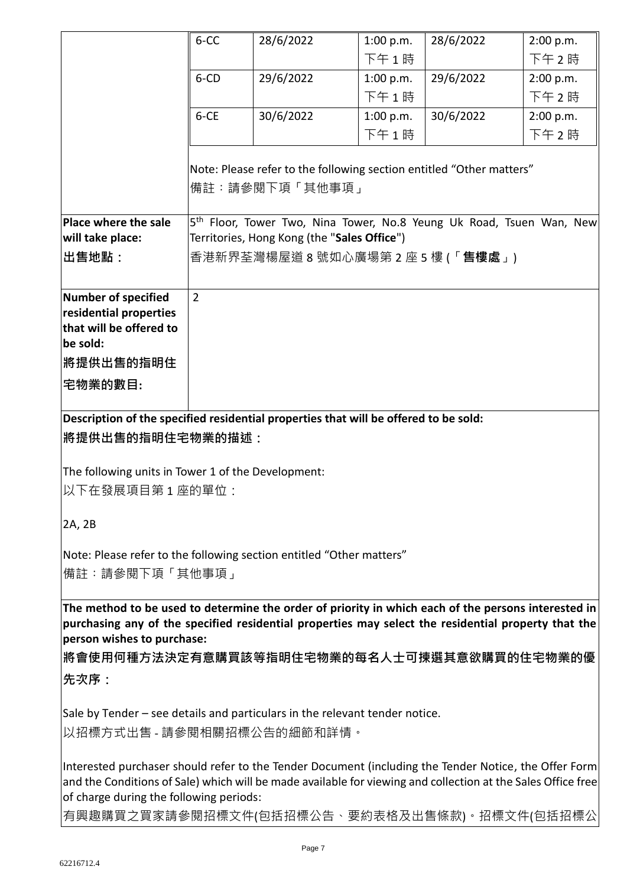|                                                                                                              | 6-CC                       | 28/6/2022                                                                        | 1:00 p.m. | 28/6/2022 | 2:00 p.m. |
|--------------------------------------------------------------------------------------------------------------|----------------------------|----------------------------------------------------------------------------------|-----------|-----------|-----------|
|                                                                                                              |                            |                                                                                  | 下午1時      |           | 下午2時      |
|                                                                                                              | 6-CD                       | 29/6/2022                                                                        | 1:00 p.m. | 29/6/2022 | 2:00 p.m. |
|                                                                                                              |                            |                                                                                  | 下午1時      |           | 下午2時      |
|                                                                                                              | $6 - CE$                   | 30/6/2022                                                                        | 1:00 p.m. | 30/6/2022 | 2:00 p.m. |
|                                                                                                              |                            |                                                                                  | 下午1時      |           | 下午2時      |
|                                                                                                              |                            |                                                                                  |           |           |           |
|                                                                                                              |                            | Note: Please refer to the following section entitled "Other matters"             |           |           |           |
|                                                                                                              |                            | 備註:請參閱下項「其他事項」                                                                   |           |           |           |
| Place where the sale                                                                                         |                            | 5 <sup>th</sup> Floor, Tower Two, Nina Tower, No.8 Yeung Uk Road, Tsuen Wan, New |           |           |           |
| will take place:                                                                                             |                            | Territories, Hong Kong (the "Sales Office")                                      |           |           |           |
| ∣出售地點:                                                                                                       |                            | 香港新界荃灣楊屋道 8 號如心廣場第 2 座 5 樓 (「 <b>售樓處</b> 」)                                      |           |           |           |
|                                                                                                              |                            |                                                                                  |           |           |           |
| Number of specified                                                                                          | $\overline{2}$             |                                                                                  |           |           |           |
| residential properties                                                                                       |                            |                                                                                  |           |           |           |
| that will be offered to                                                                                      |                            |                                                                                  |           |           |           |
| be sold:                                                                                                     |                            |                                                                                  |           |           |           |
| <b> 將提供出售的指明住</b>                                                                                            |                            |                                                                                  |           |           |           |
| 宅物業的數目:                                                                                                      |                            |                                                                                  |           |           |           |
| Description of the specified residential properties that will be offered to be sold:                         |                            |                                                                                  |           |           |           |
| <b> 將提供出售的指明住宅物業的描述:</b>                                                                                     |                            |                                                                                  |           |           |           |
|                                                                                                              |                            |                                                                                  |           |           |           |
| The following units in Tower 1 of the Development:                                                           |                            |                                                                                  |           |           |           |
| 以下在發展項目第1座的單位:                                                                                               |                            |                                                                                  |           |           |           |
|                                                                                                              |                            |                                                                                  |           |           |           |
| 2A, 2B                                                                                                       |                            |                                                                                  |           |           |           |
| Note: Please refer to the following section entitled "Other matters"                                         |                            |                                                                                  |           |           |           |
| 備註:請參閱下項「其他事項」                                                                                               |                            |                                                                                  |           |           |           |
|                                                                                                              |                            |                                                                                  |           |           |           |
| The method to be used to determine the order of priority in which each of the persons interested in          |                            |                                                                                  |           |           |           |
| purchasing any of the specified residential properties may select the residential property that the          |                            |                                                                                  |           |           |           |
| person wishes to purchase:                                                                                   |                            |                                                                                  |           |           |           |
| 將會使用何種方法決定有意購買該等指明住宅物業的每名人士可揀選其意欲購買的住宅物業的優                                                                   |                            |                                                                                  |           |           |           |
| 先次序:                                                                                                         |                            |                                                                                  |           |           |           |
| Sale by Tender – see details and particulars in the relevant tender notice.                                  |                            |                                                                                  |           |           |           |
|                                                                                                              |                            |                                                                                  |           |           |           |
|                                                                                                              | 以招標方式出售 - 請參閱相關招標公告的細節和詳情。 |                                                                                  |           |           |           |
| Interested purchaser should refer to the Tender Document (including the Tender Notice, the Offer Form        |                            |                                                                                  |           |           |           |
| and the Conditions of Sale) which will be made available for viewing and collection at the Sales Office free |                            |                                                                                  |           |           |           |
| of charge during the following periods:                                                                      |                            |                                                                                  |           |           |           |
| 有興趣購買之買家請參閱招標文件(包括招標公告、要約表格及出售條款)。招標文件(包括招標公                                                                 |                            |                                                                                  |           |           |           |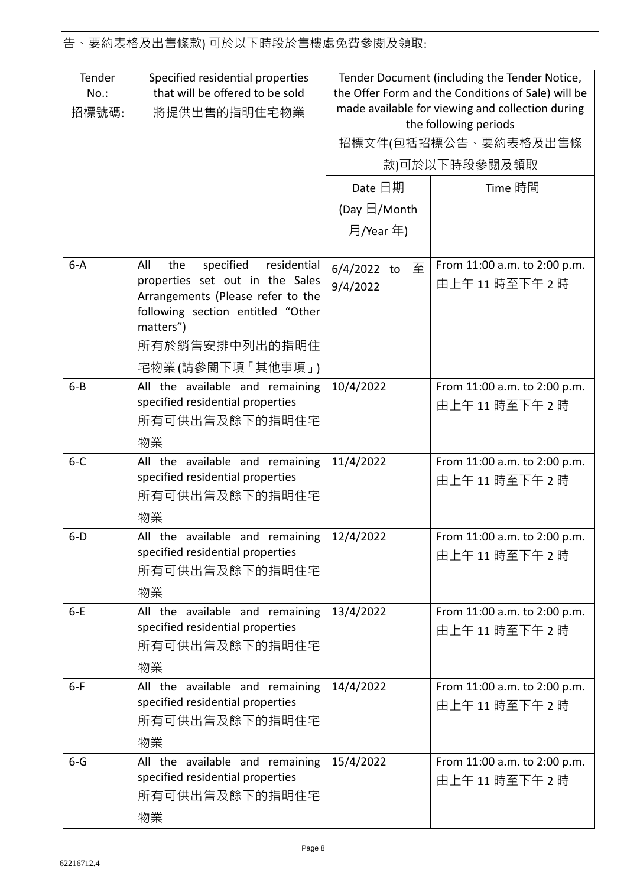|                            | 告、要約表格及出售條款) 可於以下時段於售樓處免費參閱及領取:                                                                                                                                  |                                                                                                                                                                                                                           |                                                 |  |
|----------------------------|------------------------------------------------------------------------------------------------------------------------------------------------------------------|---------------------------------------------------------------------------------------------------------------------------------------------------------------------------------------------------------------------------|-------------------------------------------------|--|
| Tender<br>$No.$ :<br>招標號碼: | Specified residential properties<br>that will be offered to be sold<br>將提供出售的指明住宅物業                                                                              | Tender Document (including the Tender Notice,<br>the Offer Form and the Conditions of Sale) will be<br>made available for viewing and collection during<br>the following periods<br>招標文件(包括招標公告、要約表格及出售條<br>款)可於以下時段參閱及領取 |                                                 |  |
|                            |                                                                                                                                                                  | Date 日期                                                                                                                                                                                                                   | Time 時間                                         |  |
|                            |                                                                                                                                                                  | (Day $\boxdot$ /Month                                                                                                                                                                                                     |                                                 |  |
|                            |                                                                                                                                                                  | 月/Year 年)                                                                                                                                                                                                                 |                                                 |  |
|                            |                                                                                                                                                                  |                                                                                                                                                                                                                           |                                                 |  |
| $6 - A$                    | specified<br>residential<br>All<br>the<br>properties set out in the Sales<br>Arrangements (Please refer to the<br>following section entitled "Other<br>matters") | 至<br>$6/4/2022$ to<br>9/4/2022                                                                                                                                                                                            | From 11:00 a.m. to 2:00 p.m.<br>由上午11時至下午2時     |  |
|                            | 所有於銷售安排中列出的指明住                                                                                                                                                   |                                                                                                                                                                                                                           |                                                 |  |
|                            | 宅物業(請參閱下項 「其他事項」)                                                                                                                                                |                                                                                                                                                                                                                           |                                                 |  |
| $6 - B$                    | All the available and remaining<br>specified residential properties<br>所有可供出售及餘下的指明住宅<br>物業                                                                      | 10/4/2022                                                                                                                                                                                                                 | From 11:00 a.m. to 2:00 p.m.<br>由上午11時至下午2時     |  |
| $6 - C$                    | All the available and remaining<br>specified residential properties<br>所有可供出售及餘下的指明住宅<br>物業                                                                      | 11/4/2022                                                                                                                                                                                                                 | From 11:00 a.m. to 2:00 p.m.<br>由上午11時至下午2時     |  |
| $6-D$                      | All the available and remaining<br>specified residential properties<br>所有可供出售及餘下的指明住宅<br>物業                                                                      | 12/4/2022                                                                                                                                                                                                                 | From 11:00 a.m. to 2:00 p.m.<br>由上午11時至下午2時     |  |
| $6-E$                      | All the available and remaining<br>specified residential properties<br>所有可供出售及餘下的指明住宅<br>物業                                                                      | 13/4/2022                                                                                                                                                                                                                 | From 11:00 a.m. to 2:00 p.m.<br>由上午11時至下午2時     |  |
| $6-F$                      | All the available and remaining<br>specified residential properties<br>所有可供出售及餘下的指明住宅<br>物業                                                                      | 14/4/2022                                                                                                                                                                                                                 | From 11:00 a.m. to 2:00 p.m.<br>由上午 11 時至下午 2 時 |  |
| $6 - G$                    | All the available and remaining<br>specified residential properties<br>所有可供出售及餘下的指明住宅<br>物業                                                                      | 15/4/2022                                                                                                                                                                                                                 | From 11:00 a.m. to 2:00 p.m.<br>由上午 11 時至下午 2 時 |  |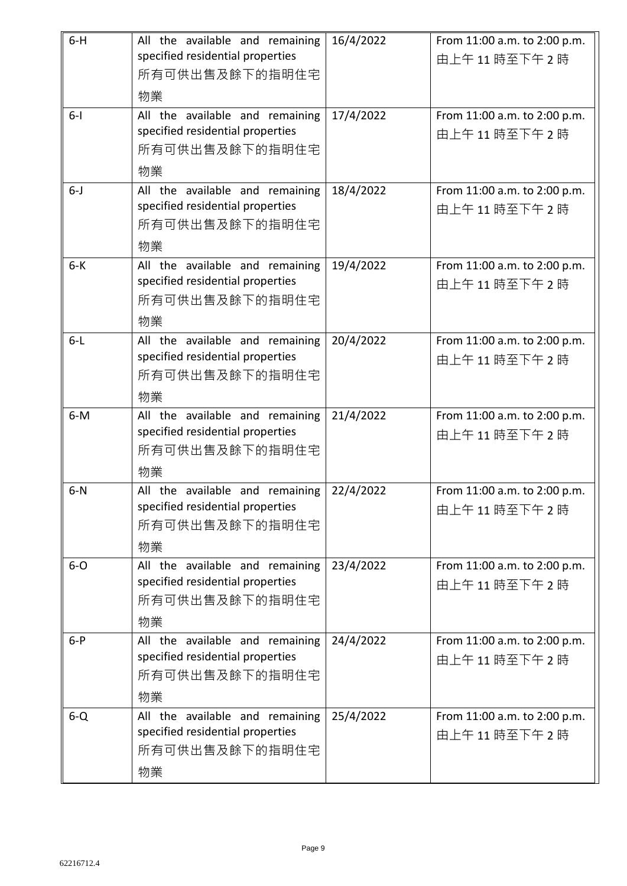| $6-H$   | All the available and remaining                                     | 16/4/2022 | From 11:00 a.m. to 2:00 p.m.                |
|---------|---------------------------------------------------------------------|-----------|---------------------------------------------|
|         | specified residential properties<br>所有可供出售及餘下的指明住宅                  |           | 由上午11時至下午2時                                 |
|         | 物業                                                                  |           |                                             |
| $6 - 1$ | All the available and remaining                                     | 17/4/2022 | From 11:00 a.m. to 2:00 p.m.                |
|         | specified residential properties                                    |           | 由上午11時至下午2時                                 |
|         | 所有可供出售及餘下的指明住宅                                                      |           |                                             |
|         | 物業                                                                  |           |                                             |
| $6 - J$ | All the available and remaining<br>specified residential properties | 18/4/2022 | From 11:00 a.m. to 2:00 p.m.                |
|         | 所有可供出售及餘下的指明住宅                                                      |           | 由上午11時至下午2時                                 |
|         | 物業                                                                  |           |                                             |
| $6 - K$ | All the available and remaining                                     | 19/4/2022 | From 11:00 a.m. to 2:00 p.m.                |
|         | specified residential properties                                    |           | 由上午11時至下午2時                                 |
|         | 所有可供出售及餘下的指明住宅                                                      |           |                                             |
|         | 物業                                                                  |           |                                             |
| $6-L$   | All the available and remaining                                     | 20/4/2022 | From 11:00 a.m. to 2:00 p.m.                |
|         | specified residential properties                                    |           | 由上午11時至下午2時                                 |
|         | 所有可供出售及餘下的指明住宅                                                      |           |                                             |
|         | 物業                                                                  |           |                                             |
| $6-M$   | All the available and remaining<br>specified residential properties | 21/4/2022 | From 11:00 a.m. to 2:00 p.m.<br>由上午11時至下午2時 |
|         | 所有可供出售及餘下的指明住宅                                                      |           |                                             |
|         | 物業                                                                  |           |                                             |
| $6-N$   | All the available and remaining                                     | 22/4/2022 | From 11:00 a.m. to 2:00 p.m.                |
|         | specified residential properties                                    |           | 由上午11時至下午2時                                 |
|         | 所有可供出售及餘下的指明住宅                                                      |           |                                             |
|         | 物業                                                                  |           |                                             |
| $6-0$   | All the available and remaining<br>specified residential properties | 23/4/2022 | From 11:00 a.m. to 2:00 p.m.                |
|         | 所有可供出售及餘下的指明住宅                                                      |           | 由上午11時至下午2時                                 |
|         | 物業                                                                  |           |                                             |
| $6-P$   | All the available and remaining                                     | 24/4/2022 | From 11:00 a.m. to 2:00 p.m.                |
|         | specified residential properties                                    |           | 由上午11時至下午2時                                 |
|         | 所有可供出售及餘下的指明住宅                                                      |           |                                             |
|         | 物業                                                                  |           |                                             |
| $6 - Q$ | All the available and remaining                                     | 25/4/2022 | From 11:00 a.m. to 2:00 p.m.                |
|         | specified residential properties                                    |           | 由上午11時至下午2時                                 |
|         | 所有可供出售及餘下的指明住宅                                                      |           |                                             |
|         | 物業                                                                  |           |                                             |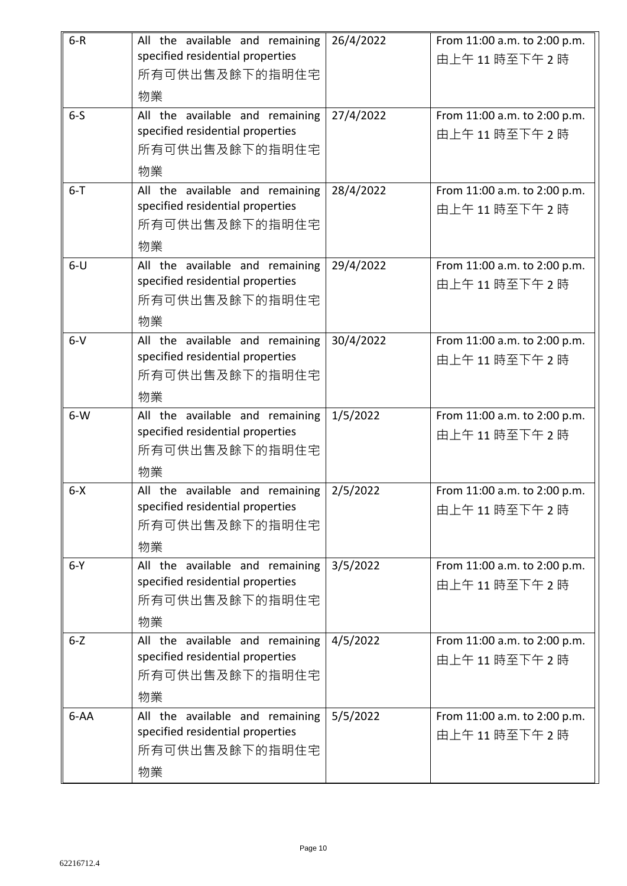| $6-R$   | All the available and remaining                                     | 26/4/2022 | From 11:00 a.m. to 2:00 p.m. |
|---------|---------------------------------------------------------------------|-----------|------------------------------|
|         | specified residential properties                                    |           | 由上午11時至下午2時                  |
|         | 所有可供出售及餘下的指明住宅                                                      |           |                              |
|         | 物業                                                                  |           |                              |
| $6-5$   | All the available and remaining<br>specified residential properties | 27/4/2022 | From 11:00 a.m. to 2:00 p.m. |
|         | 所有可供出售及餘下的指明住宅                                                      |           | 由上午11時至下午2時                  |
|         | 物業                                                                  |           |                              |
| $6 - T$ | All the available and remaining                                     | 28/4/2022 | From 11:00 a.m. to 2:00 p.m. |
|         | specified residential properties                                    |           | 由上午11時至下午2時                  |
|         | 所有可供出售及餘下的指明住宅                                                      |           |                              |
|         | 物業                                                                  |           |                              |
| $6-U$   | All the available and remaining                                     | 29/4/2022 | From 11:00 a.m. to 2:00 p.m. |
|         | specified residential properties                                    |           | 由上午11時至下午2時                  |
|         | 所有可供出售及餘下的指明住宅                                                      |           |                              |
|         | 物業                                                                  |           |                              |
| $6-V$   | All the available and remaining                                     | 30/4/2022 | From 11:00 a.m. to 2:00 p.m. |
|         | specified residential properties                                    |           | 由上午11時至下午2時                  |
|         | 所有可供出售及餘下的指明住宅                                                      |           |                              |
|         | 物業                                                                  |           |                              |
| $6-W$   | All the available and remaining<br>specified residential properties | 1/5/2022  | From 11:00 a.m. to 2:00 p.m. |
|         | 所有可供出售及餘下的指明住宅                                                      |           | 由上午11時至下午2時                  |
|         | 物業                                                                  |           |                              |
| $6 - X$ | All the available and remaining                                     | 2/5/2022  | From 11:00 a.m. to 2:00 p.m. |
|         | specified residential properties                                    |           | 由上午11時至下午2時                  |
|         | 所有可供出售及餘下的指明住宅                                                      |           |                              |
|         | 物業                                                                  |           |                              |
| $6-Y$   | All the available and remaining                                     | 3/5/2022  | From 11:00 a.m. to 2:00 p.m. |
|         | specified residential properties                                    |           | 由上午11時至下午2時                  |
|         | 所有可供出售及餘下的指明住宅                                                      |           |                              |
|         | 物業                                                                  |           |                              |
| $6 - Z$ | All the available and remaining                                     | 4/5/2022  | From 11:00 a.m. to 2:00 p.m. |
|         | specified residential properties                                    |           | 由上午11時至下午2時                  |
|         | 所有可供出售及餘下的指明住宅                                                      |           |                              |
|         | 物業                                                                  |           |                              |
| $6-AA$  | All the available and remaining<br>specified residential properties | 5/5/2022  | From 11:00 a.m. to 2:00 p.m. |
|         | 所有可供出售及餘下的指明住宅                                                      |           | 由上午11時至下午2時                  |
|         | 物業                                                                  |           |                              |
|         |                                                                     |           |                              |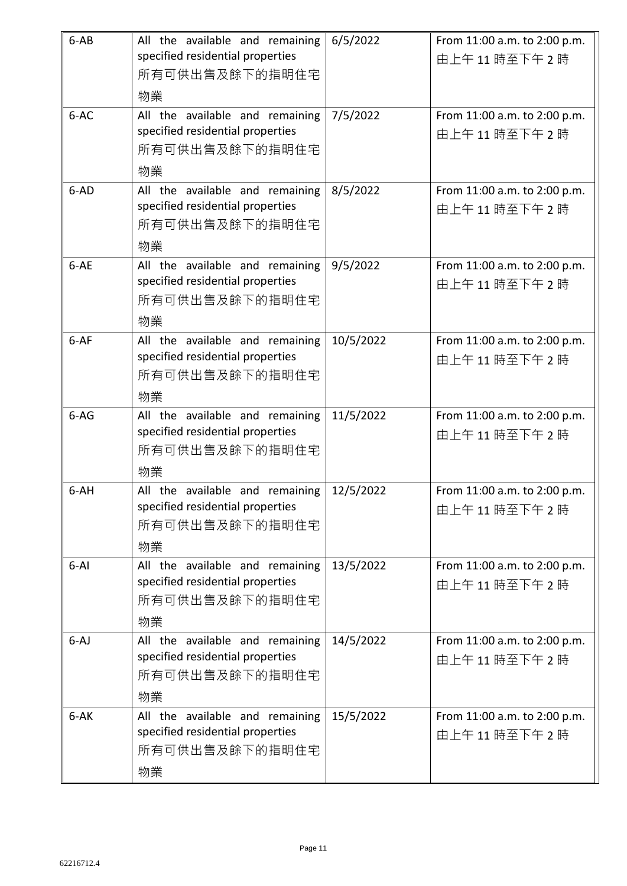| $6-AB$   | All the available and remaining<br>specified residential properties<br>所有可供出售及餘下的指明住宅<br>物業 | 6/5/2022  | From 11:00 a.m. to 2:00 p.m.<br>由上午11時至下午2時 |
|----------|---------------------------------------------------------------------------------------------|-----------|---------------------------------------------|
| 6-AC     | All the available and remaining<br>specified residential properties<br>所有可供出售及餘下的指明住宅<br>物業 | 7/5/2022  | From 11:00 a.m. to 2:00 p.m.<br>由上午11時至下午2時 |
| 6-AD     | All the available and remaining<br>specified residential properties<br>所有可供出售及餘下的指明住宅<br>物業 | 8/5/2022  | From 11:00 a.m. to 2:00 p.m.<br>由上午11時至下午2時 |
| 6-AE     | All the available and remaining<br>specified residential properties<br>所有可供出售及餘下的指明住宅<br>物業 | 9/5/2022  | From 11:00 a.m. to 2:00 p.m.<br>由上午11時至下午2時 |
| 6-AF     | All the available and remaining<br>specified residential properties<br>所有可供出售及餘下的指明住宅<br>物業 | 10/5/2022 | From 11:00 a.m. to 2:00 p.m.<br>由上午11時至下午2時 |
| $6-AG$   | All the available and remaining<br>specified residential properties<br>所有可供出售及餘下的指明住宅<br>物業 | 11/5/2022 | From 11:00 a.m. to 2:00 p.m.<br>由上午11時至下午2時 |
| 6-AH     | All the available and remaining<br>specified residential properties<br>所有可供出售及餘下的指明住宅<br>物業 | 12/5/2022 | From 11:00 a.m. to 2:00 p.m.<br>由上午11時至下午2時 |
| $6 - AI$ | All the available and remaining<br>specified residential properties<br>所有可供出售及餘下的指明住宅<br>物業 | 13/5/2022 | From 11:00 a.m. to 2:00 p.m.<br>由上午11時至下午2時 |
| $6 - AJ$ | All the available and remaining<br>specified residential properties<br>所有可供出售及餘下的指明住宅<br>物業 | 14/5/2022 | From 11:00 a.m. to 2:00 p.m.<br>由上午11時至下午2時 |
| $6 - AK$ | All the available and remaining<br>specified residential properties<br>所有可供出售及餘下的指明住宅<br>物業 | 15/5/2022 | From 11:00 a.m. to 2:00 p.m.<br>由上午11時至下午2時 |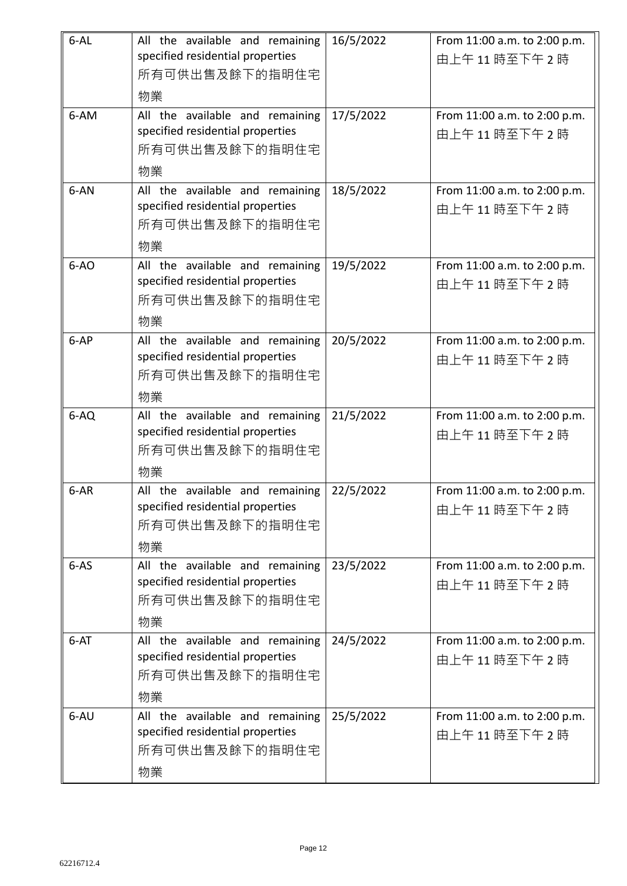| $6 - AL$ | All the available and remaining<br>specified residential properties<br>所有可供出售及餘下的指明住宅       | 16/5/2022 | From 11:00 a.m. to 2:00 p.m.<br>由上午11時至下午2時 |
|----------|---------------------------------------------------------------------------------------------|-----------|---------------------------------------------|
|          | 物業                                                                                          |           |                                             |
| 6-AM     | All the available and remaining<br>specified residential properties<br>所有可供出售及餘下的指明住宅<br>物業 | 17/5/2022 | From 11:00 a.m. to 2:00 p.m.<br>由上午11時至下午2時 |
| 6-AN     | All the available and remaining<br>specified residential properties<br>所有可供出售及餘下的指明住宅<br>物業 | 18/5/2022 | From 11:00 a.m. to 2:00 p.m.<br>由上午11時至下午2時 |
| $6-AO$   | All the available and remaining<br>specified residential properties<br>所有可供出售及餘下的指明住宅<br>物業 | 19/5/2022 | From 11:00 a.m. to 2:00 p.m.<br>由上午11時至下午2時 |
| $6-AP$   | All the available and remaining<br>specified residential properties<br>所有可供出售及餘下的指明住宅<br>物業 | 20/5/2022 | From 11:00 a.m. to 2:00 p.m.<br>由上午11時至下午2時 |
| $6-AO$   | All the available and remaining<br>specified residential properties<br>所有可供出售及餘下的指明住宅<br>物業 | 21/5/2022 | From 11:00 a.m. to 2:00 p.m.<br>由上午11時至下午2時 |
| 6-AR     | All the available and remaining<br>specified residential properties<br>所有可供出售及餘下的指明住宅<br>物業 | 22/5/2022 | From 11:00 a.m. to 2:00 p.m.<br>由上午11時至下午2時 |
| $6-AS$   | All the available and remaining<br>specified residential properties<br>所有可供出售及餘下的指明住宅<br>物業 | 23/5/2022 | From 11:00 a.m. to 2:00 p.m.<br>由上午11時至下午2時 |
| $6 - AT$ | All the available and remaining<br>specified residential properties<br>所有可供出售及餘下的指明住宅<br>物業 | 24/5/2022 | From 11:00 a.m. to 2:00 p.m.<br>由上午11時至下午2時 |
| 6-AU     | All the available and remaining<br>specified residential properties<br>所有可供出售及餘下的指明住宅<br>物業 | 25/5/2022 | From 11:00 a.m. to 2:00 p.m.<br>由上午11時至下午2時 |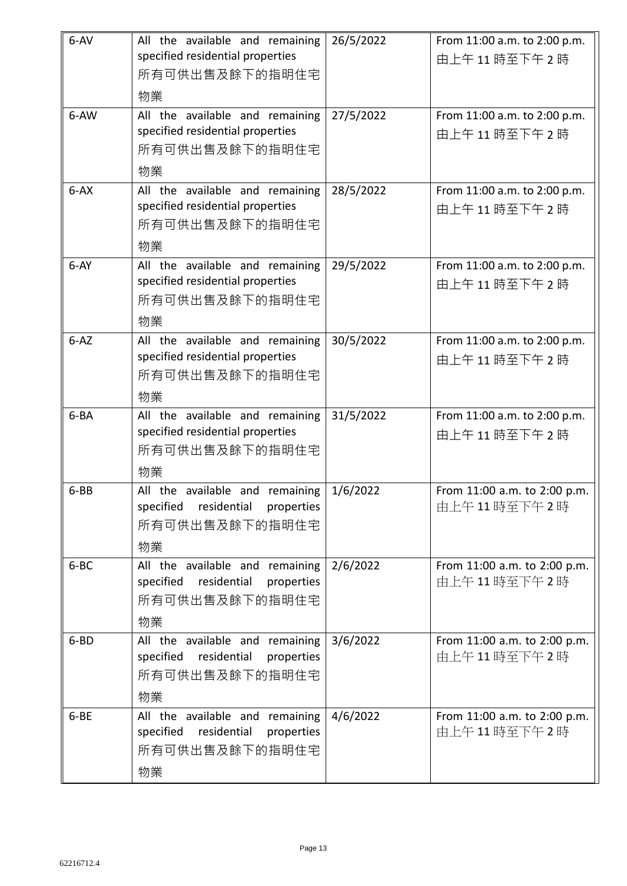| $6 - AV$ | All the available and remaining<br>specified residential properties<br>所有可供出售及餘下的指明住宅<br>物業       | 26/5/2022 | From 11:00 a.m. to 2:00 p.m.<br>由上午11時至下午2時 |
|----------|---------------------------------------------------------------------------------------------------|-----------|---------------------------------------------|
| 6-AW     | All the available and remaining<br>specified residential properties<br>所有可供出售及餘下的指明住宅<br>物業       | 27/5/2022 | From 11:00 a.m. to 2:00 p.m.<br>由上午11時至下午2時 |
| $6 - AX$ | All the available and remaining<br>specified residential properties<br>所有可供出售及餘下的指明住宅<br>物業       | 28/5/2022 | From 11:00 a.m. to 2:00 p.m.<br>由上午11時至下午2時 |
| $6-AY$   | All the available and remaining<br>specified residential properties<br>所有可供出售及餘下的指明住宅<br>物業       | 29/5/2022 | From 11:00 a.m. to 2:00 p.m.<br>由上午11時至下午2時 |
| $6 - AZ$ | All the available and remaining<br>specified residential properties<br>所有可供出售及餘下的指明住宅<br>物業       | 30/5/2022 | From 11:00 a.m. to 2:00 p.m.<br>由上午11時至下午2時 |
| 6-BA     | All the available and remaining<br>specified residential properties<br>所有可供出售及餘下的指明住宅<br>物業       | 31/5/2022 | From 11:00 a.m. to 2:00 p.m.<br>由上午11時至下午2時 |
| $6-BB$   | All the available and remaining<br>specified<br>residential<br>properties<br>所有可供出售及餘下的指明住宅<br>物業 | 1/6/2022  | From 11:00 a.m. to 2:00 p.m.<br>由上午11時至下午2時 |
| 6-BC     | All the available and remaining<br>specified<br>residential<br>properties<br>所有可供出售及餘下的指明住宅<br>物業 | 2/6/2022  | From 11:00 a.m. to 2:00 p.m.<br>由上午11時至下午2時 |
| $6 - BD$ | All the available and remaining<br>specified<br>residential<br>properties<br>所有可供出售及餘下的指明住宅<br>物業 | 3/6/2022  | From 11:00 a.m. to 2:00 p.m.<br>由上午11時至下午2時 |
| 6-BE     | All the available and remaining<br>specified<br>residential<br>properties<br>所有可供出售及餘下的指明住宅<br>物業 | 4/6/2022  | From 11:00 a.m. to 2:00 p.m.<br>由上午11時至下午2時 |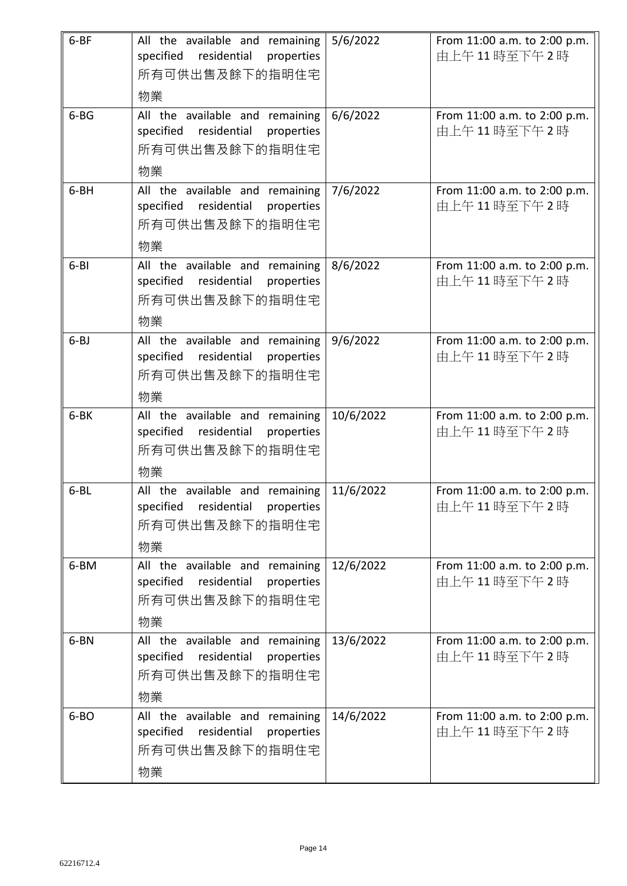| $6 - BF$ | All the available and remaining<br>specified residential<br>properties<br>所有可供出售及餘下的指明住宅<br>物業    | 5/6/2022  | From 11:00 a.m. to 2:00 p.m.<br>由上午11時至下午2時 |
|----------|---------------------------------------------------------------------------------------------------|-----------|---------------------------------------------|
| $6 - BG$ | All the available and remaining<br>specified residential<br>properties<br>所有可供出售及餘下的指明住宅<br>物業    | 6/6/2022  | From 11:00 a.m. to 2:00 p.m.<br>由上午11時至下午2時 |
| $6 - BH$ | All the available and remaining<br>specified residential<br>properties<br>所有可供出售及餘下的指明住宅<br>物業    | 7/6/2022  | From 11:00 a.m. to 2:00 p.m.<br>由上午11時至下午2時 |
| $6 - B1$ | All the available and remaining<br>specified residential<br>properties<br>所有可供出售及餘下的指明住宅<br>物業    | 8/6/2022  | From 11:00 a.m. to 2:00 p.m.<br>由上午11時至下午2時 |
| $6 - BJ$ | All the available and remaining<br>residential<br>specified<br>properties<br>所有可供出售及餘下的指明住宅<br>物業 | 9/6/2022  | From 11:00 a.m. to 2:00 p.m.<br>由上午11時至下午2時 |
| 6-BK     | All the available and remaining<br>residential<br>specified<br>properties<br>所有可供出售及餘下的指明住宅<br>物業 | 10/6/2022 | From 11:00 a.m. to 2:00 p.m.<br>由上午11時至下午2時 |
| $6 - BL$ | All the available and remaining<br>specified<br>residential<br>properties<br>所有可供出售及餘下的指明住宅<br>物業 | 11/6/2022 | From 11:00 a.m. to 2:00 p.m.<br>由上午11時至下午2時 |
| 6-BM     | All the available and remaining<br>specified<br>residential<br>properties<br>所有可供出售及餘下的指明住宅<br>物業 | 12/6/2022 | From 11:00 a.m. to 2:00 p.m.<br>由上午11時至下午2時 |
| 6-BN     | All the available and remaining<br>specified<br>residential<br>properties<br>所有可供出售及餘下的指明住宅<br>物業 | 13/6/2022 | From 11:00 a.m. to 2:00 p.m.<br>由上午11時至下午2時 |
| $6 - BO$ | All the available and remaining<br>specified<br>residential<br>properties<br>所有可供出售及餘下的指明住宅<br>物業 | 14/6/2022 | From 11:00 a.m. to 2:00 p.m.<br>由上午11時至下午2時 |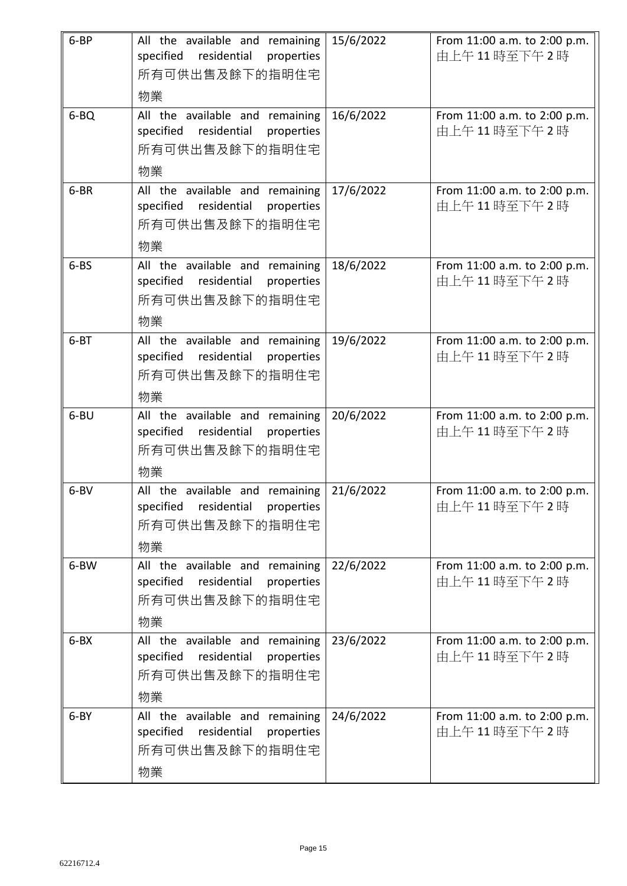| $6 - BP$  | All the available and remaining<br>specified<br>residential<br>properties<br>所有可供出售及餘下的指明住宅<br>物業 | 15/6/2022 | From 11:00 a.m. to 2:00 p.m.<br>由上午11時至下午2時 |
|-----------|---------------------------------------------------------------------------------------------------|-----------|---------------------------------------------|
| $6 - BQ$  | All the available and remaining<br>specified residential<br>properties<br>所有可供出售及餘下的指明住宅<br>物業    | 16/6/2022 | From 11:00 a.m. to 2:00 p.m.<br>由上午11時至下午2時 |
| 6-BR      | All the available and remaining<br>specified residential<br>properties<br>所有可供出售及餘下的指明住宅<br>物業    | 17/6/2022 | From 11:00 a.m. to 2:00 p.m.<br>由上午11時至下午2時 |
| $6 - BS$  | All the available and remaining<br>specified residential<br>properties<br>所有可供出售及餘下的指明住宅<br>物業    | 18/6/2022 | From 11:00 a.m. to 2:00 p.m.<br>由上午11時至下午2時 |
| $6 - BT$  | All the available and remaining<br>residential<br>specified<br>properties<br>所有可供出售及餘下的指明住宅<br>物業 | 19/6/2022 | From 11:00 a.m. to 2:00 p.m.<br>由上午11時至下午2時 |
| $6 - B$ U | All the available and remaining<br>residential<br>specified<br>properties<br>所有可供出售及餘下的指明住宅<br>物業 | 20/6/2022 | From 11:00 a.m. to 2:00 p.m.<br>由上午11時至下午2時 |
| $6 - BV$  | All the available and remaining<br>specified<br>residential<br>properties<br>所有可供出售及餘下的指明住宅<br>物業 | 21/6/2022 | From 11:00 a.m. to 2:00 p.m.<br>由上午11時至下午2時 |
| 6-BW      | All the available and remaining<br>specified<br>residential<br>properties<br>所有可供出售及餘下的指明住宅<br>物業 | 22/6/2022 | From 11:00 a.m. to 2:00 p.m.<br>由上午11時至下午2時 |
| $6 - BX$  | All the available and remaining<br>specified<br>residential<br>properties<br>所有可供出售及餘下的指明住宅<br>物業 | 23/6/2022 | From 11:00 a.m. to 2:00 p.m.<br>由上午11時至下午2時 |
| $6 - BY$  | All the available and remaining<br>specified<br>residential<br>properties<br>所有可供出售及餘下的指明住宅<br>物業 | 24/6/2022 | From 11:00 a.m. to 2:00 p.m.<br>由上午11時至下午2時 |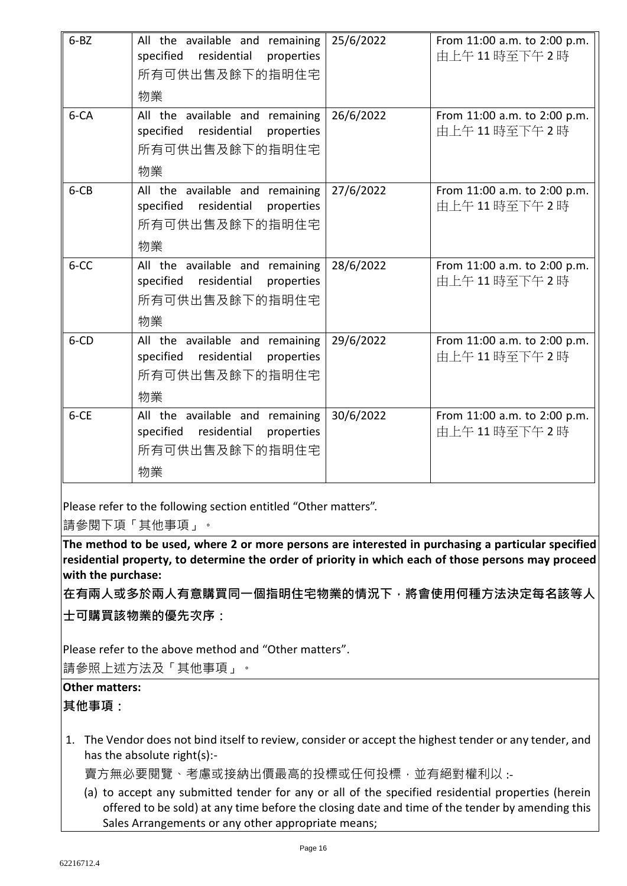| $6 - BZ$ | All the available and remaining<br>residential<br>specified<br>properties<br>所有可供出售及餘下的指明住宅<br>物業 | 25/6/2022 | From 11:00 a.m. to 2:00 p.m.<br>由上午11時至下午2時 |
|----------|---------------------------------------------------------------------------------------------------|-----------|---------------------------------------------|
| $6 - CA$ | All the available and remaining<br>specified residential<br>properties<br>所有可供出售及餘下的指明住宅<br>物業    | 26/6/2022 | From 11:00 a.m. to 2:00 p.m.<br>由上午11時至下午2時 |
| $6 - CB$ | All the available and remaining<br>specified residential<br>properties<br>所有可供出售及餘下的指明住宅<br>物業    | 27/6/2022 | From 11:00 a.m. to 2:00 p.m.<br>由上午11時至下午2時 |
| 6-CC     | All the available and remaining<br>residential<br>specified<br>properties<br>所有可供出售及餘下的指明住宅<br>物業 | 28/6/2022 | From 11:00 a.m. to 2:00 p.m.<br>由上午11時至下午2時 |
| $6$ -CD  | All the available and remaining<br>specified residential<br>properties<br>所有可供出售及餘下的指明住宅<br>物業    | 29/6/2022 | From 11:00 a.m. to 2:00 p.m.<br>由上午11時至下午2時 |
| $6 - CE$ | All the available and remaining<br>residential<br>specified<br>properties<br>所有可供出售及餘下的指明住宅<br>物業 | 30/6/2022 | From 11:00 a.m. to 2:00 p.m.<br>由上午11時至下午2時 |

Please refer to the following section entitled "Other matters".

請參閱下項「其他事項」。

**The method to be used, where 2 or more persons are interested in purchasing a particular specified residential property, to determine the order of priority in which each of those persons may proceed with the purchase:**

**在有兩人或多於兩人有意購買同一個指明住宅物業的情況下,將會使用何種方法決定每名該等人 士可購買該物業的優先次序:**

Please refer to the above method and "Other matters".

請參照上述方法及「其他事項」。

## **Other matters:**

**其他事項:**

1. The Vendor does not bind itself to review, consider or accept the highest tender or any tender, and has the absolute right(s):-

賣方無必要閱覽、考慮或接納出價最高的投標或任何投標,並有絕對權利以:-

(a) to accept any submitted tender for any or all of the specified residential properties (herein offered to be sold) at any time before the closing date and time of the tender by amending this Sales Arrangements or any other appropriate means;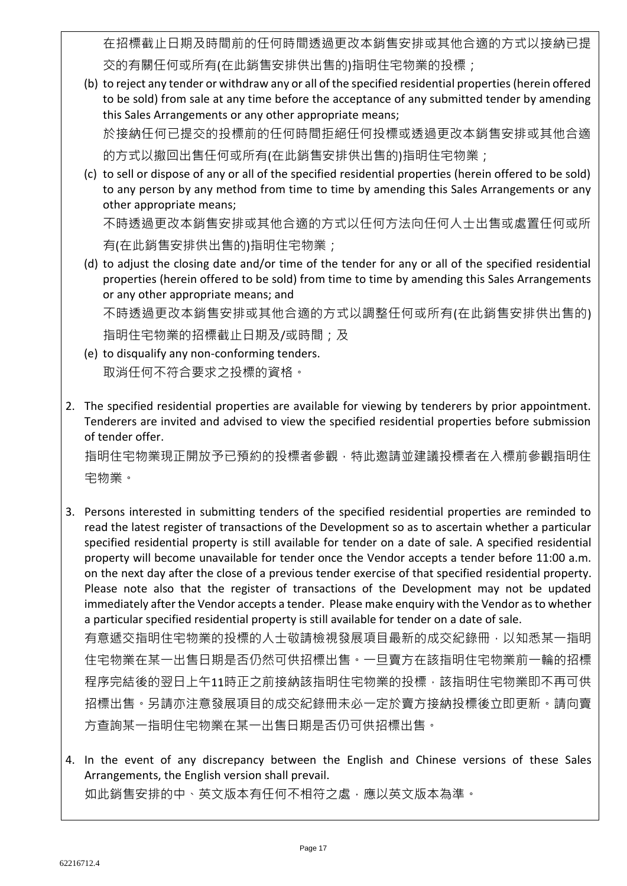在招標截止日期及時間前的任何時間透過更改本銷售安排或其他合適的方式以接納已提 交的有關任何或所有(在此銷售安排供出售的)指明住宅物業的投標;

- (b) to reject any tender or withdraw any or all of the specified residential properties (herein offered to be sold) from sale at any time before the acceptance of any submitted tender by amending this Sales Arrangements or any other appropriate means; 於接納任何已提交的投標前的任何時間拒絕任何投標或透過更改本銷售安排或其他合適 的方式以撤回出售任何或所有(在此銷售安排供出售的)指明住宅物業;
- (c) to sell or dispose of any or all of the specified residential properties (herein offered to be sold) to any person by any method from time to time by amending this Sales Arrangements or any other appropriate means;

不時透過更改本銷售安排或其他合適的方式以任何方法向任何人士出售或處置任何或所 有(在此銷售安排供出售的)指明住宅物業;

(d) to adjust the closing date and/or time of the tender for any or all of the specified residential properties (herein offered to be sold) from time to time by amending this Sales Arrangements or any other appropriate means; and

不時透過更改本銷售安排或其他合適的方式以調整任何或所有(在此銷售安排供出售的) 指明住宅物業的招標截止日期及/或時間;及

- (e) to disqualify any non-conforming tenders. 取消任何不符合要求之投標的資格。
- 2. The specified residential properties are available for viewing by tenderers by prior appointment. Tenderers are invited and advised to view the specified residential properties before submission of tender offer.

指明住宅物業現正開放予已預約的投標者參觀,特此邀請並建議投標者在入標前參觀指明住 宅物業。

3. Persons interested in submitting tenders of the specified residential properties are reminded to read the latest register of transactions of the Development so as to ascertain whether a particular specified residential property is still available for tender on a date of sale. A specified residential property will become unavailable for tender once the Vendor accepts a tender before 11:00 a.m. on the next day after the close of a previous tender exercise of that specified residential property. Please note also that the register of transactions of the Development may not be updated immediately after the Vendor accepts a tender. Please make enquiry with the Vendor as to whether a particular specified residential property is still available for tender on a date of sale. 有意遞交指明住宅物業的投標的人士敬請檢視發展項目最新的成交紀錄冊,以知悉某一指明

住宅物業在某一出售日期是否仍然可供招標出售。一旦賣方在該指明住宅物業前一輪的招標 程序完結後的翌日上午11時正之前接納該指明住宅物業的投標,該指明住宅物業即不再可供 招標出售。另請亦注意發展項目的成交紀錄冊未必一定於賣方接納投標後立即更新。請向賣 方查詢某一指明住宅物業在某一出售日期是否仍可供招標出售。

4. In the event of any discrepancy between the English and Chinese versions of these Sales Arrangements, the English version shall prevail. 如此銷售安排的中、英文版本有任何不相符之處,應以英文版本為準。